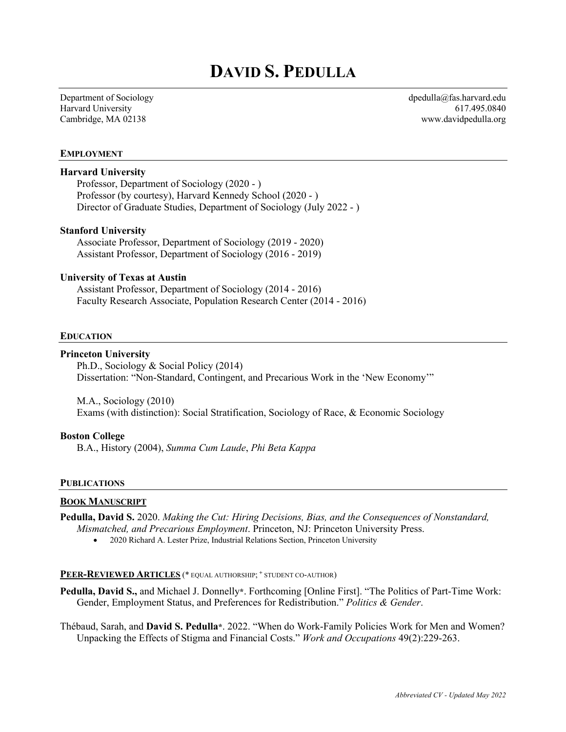# **DAVID S. PEDULLA**

Department of Sociology Harvard University Cambridge, MA 02138

dpedulla@fas.harvard.edu 617.495.0840 www.davidpedulla.org

#### **EMPLOYMENT**

### **Harvard University**

Professor, Department of Sociology (2020 - ) Professor (by courtesy), Harvard Kennedy School (2020 - ) Director of Graduate Studies, Department of Sociology (July 2022 - )

#### **Stanford University**

Associate Professor, Department of Sociology (2019 - 2020) Assistant Professor, Department of Sociology (2016 - 2019)

#### **University of Texas at Austin**

Assistant Professor, Department of Sociology (2014 - 2016) Faculty Research Associate, Population Research Center (2014 - 2016)

#### **EDUCATION**

#### **Princeton University**

Ph.D., Sociology & Social Policy (2014) Dissertation: "Non-Standard, Contingent, and Precarious Work in the 'New Economy'"

M.A., Sociology (2010) Exams (with distinction): Social Stratification, Sociology of Race, & Economic Sociology

#### **Boston College**

B.A., History (2004), *Summa Cum Laude*, *Phi Beta Kappa*

#### **PUBLICATIONS**

#### **BOOK MANUSCRIPT**

- **Pedulla, David S.** 2020. *Making the Cut: Hiring Decisions, Bias, and the Consequences of Nonstandard, Mismatched, and Precarious Employment*. Princeton, NJ: Princeton University Press.
	- 2020 Richard A. Lester Prize, Industrial Relations Section, Princeton University

#### **PEER-REVIEWED ARTICLES** (\* EQUAL AUTHORSHIP; **<sup>+</sup>** STUDENT CO-AUTHOR)

**Pedulla, David S.,** and Michael J. Donnelly**\***. Forthcoming [Online First]. "The Politics of Part-Time Work: Gender, Employment Status, and Preferences for Redistribution." *Politics & Gender*.

Thébaud, Sarah, and **David S. Pedulla\***. 2022. "When do Work-Family Policies Work for Men and Women? Unpacking the Effects of Stigma and Financial Costs." *Work and Occupations* 49(2):229-263.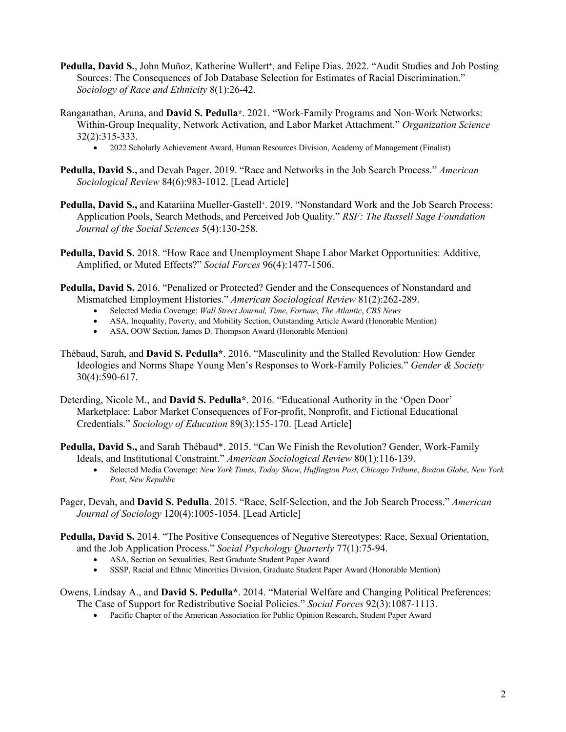- **Pedulla, David S.**, John Muñoz, Katherine Wullert**+**, and Felipe Dias. 2022. "Audit Studies and Job Posting Sources: The Consequences of Job Database Selection for Estimates of Racial Discrimination." *Sociology of Race and Ethnicity* 8(1):26-42.
- Ranganathan, Aruna, and **David S. Pedulla\***. 2021. "Work-Family Programs and Non-Work Networks: Within-Group Inequality, Network Activation, and Labor Market Attachment." *Organization Science* 32(2):315-333.

• 2022 Scholarly Achievement Award, Human Resources Division, Academy of Management (Finalist)

- **Pedulla, David S.,** and Devah Pager. 2019. "Race and Networks in the Job Search Process." *American Sociological Review* 84(6):983-1012. [Lead Article]
- **Pedulla, David S.,** and Katariina Mueller-Gastell **<sup>+</sup>**. 2019. "Nonstandard Work and the Job Search Process: Application Pools, Search Methods, and Perceived Job Quality." *RSF: The Russell Sage Foundation Journal of the Social Sciences* 5(4):130-258.
- **Pedulla, David S.** 2018. "How Race and Unemployment Shape Labor Market Opportunities: Additive, Amplified, or Muted Effects?" *Social Forces* 96(4):1477-1506.
- **Pedulla, David S.** 2016. "Penalized or Protected? Gender and the Consequences of Nonstandard and Mismatched Employment Histories." *American Sociological Review* 81(2):262-289.
	- Selected Media Coverage: *Wall Street Journal, Time*, *Fortune*, *The Atlantic*, *CBS News*
	- ASA, Inequality, Poverty, and Mobility Section, Outstanding Article Award (Honorable Mention)
	- ASA, OOW Section, James D. Thompson Award (Honorable Mention)
- Thébaud, Sarah, and **David S. Pedulla\***. 2016. "Masculinity and the Stalled Revolution: How Gender Ideologies and Norms Shape Young Men's Responses to Work-Family Policies." *Gender & Society* 30(4):590-617.
- Deterding, Nicole M., and **David S. Pedulla\***. 2016. "Educational Authority in the 'Open Door' Marketplace: Labor Market Consequences of For-profit, Nonprofit, and Fictional Educational Credentials." *Sociology of Education* 89(3):155-170. [Lead Article]
- **Pedulla, David S.,** and Sarah Thébaud\*. 2015. "Can We Finish the Revolution? Gender, Work-Family Ideals, and Institutional Constraint." *American Sociological Review* 80(1):116-139.
	- Selected Media Coverage: *New York Times*, *Today Show*, *Huffington Post*, *Chicago Tribune*, *Boston Globe*, *New York Post*, *New Republic*
- Pager, Devah, and **David S. Pedulla**. 2015. "Race, Self-Selection, and the Job Search Process." *American Journal of Sociology* 120(4):1005-1054. [Lead Article]
- **Pedulla, David S.** 2014. "The Positive Consequences of Negative Stereotypes: Race, Sexual Orientation, and the Job Application Process." *Social Psychology Quarterly* 77(1):75-94.
	- ASA, Section on Sexualities, Best Graduate Student Paper Award
	- SSSP, Racial and Ethnic Minorities Division, Graduate Student Paper Award (Honorable Mention)
- Owens, Lindsay A., and **David S. Pedulla\***. 2014. "Material Welfare and Changing Political Preferences: The Case of Support for Redistributive Social Policies." *Social Forces* 92(3):1087-1113.
	- Pacific Chapter of the American Association for Public Opinion Research, Student Paper Award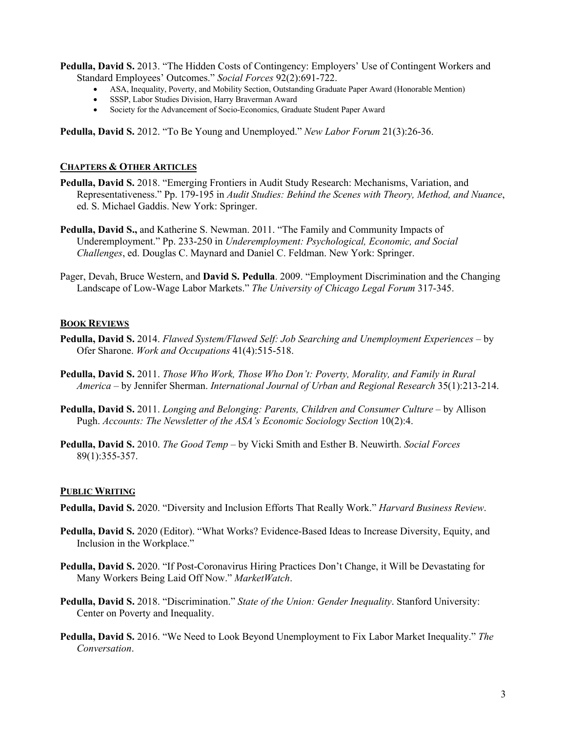**Pedulla, David S.** 2013. "The Hidden Costs of Contingency: Employers' Use of Contingent Workers and Standard Employees' Outcomes." *Social Forces* 92(2):691-722.

- ASA, Inequality, Poverty, and Mobility Section, Outstanding Graduate Paper Award (Honorable Mention)
- SSSP, Labor Studies Division, Harry Braverman Award
- Society for the Advancement of Socio-Economics, Graduate Student Paper Award

**Pedulla, David S.** 2012. "To Be Young and Unemployed." *New Labor Forum* 21(3):26-36.

### **CHAPTERS & OTHER ARTICLES**

- **Pedulla, David S.** 2018. "Emerging Frontiers in Audit Study Research: Mechanisms, Variation, and Representativeness." Pp. 179-195 in *Audit Studies: Behind the Scenes with Theory, Method, and Nuance*, ed. S. Michael Gaddis. New York: Springer.
- **Pedulla, David S.,** and Katherine S. Newman. 2011. "The Family and Community Impacts of Underemployment." Pp. 233-250 in *Underemployment: Psychological, Economic, and Social Challenges*, ed. Douglas C. Maynard and Daniel C. Feldman. New York: Springer.
- Pager, Devah, Bruce Western, and **David S. Pedulla**. 2009. "Employment Discrimination and the Changing Landscape of Low-Wage Labor Markets." *The University of Chicago Legal Forum* 317-345.

#### **BOOK REVIEWS**

- **Pedulla, David S.** 2014. *Flawed System/Flawed Self: Job Searching and Unemployment Experiences* by Ofer Sharone. *Work and Occupations* 41(4):515-518.
- **Pedulla, David S.** 2011. *Those Who Work, Those Who Don't: Poverty, Morality, and Family in Rural America* – by Jennifer Sherman. *International Journal of Urban and Regional Research* 35(1):213-214.
- **Pedulla, David S.** 2011. *Longing and Belonging: Parents, Children and Consumer Culture* by Allison Pugh. *Accounts: The Newsletter of the ASA's Economic Sociology Section* 10(2):4.
- **Pedulla, David S.** 2010. *The Good Temp* by Vicki Smith and Esther B. Neuwirth. *Social Forces* 89(1):355-357.

#### **PUBLIC WRITING**

- **Pedulla, David S.** 2020. "Diversity and Inclusion Efforts That Really Work." *Harvard Business Review*.
- **Pedulla, David S.** 2020 (Editor). "What Works? Evidence-Based Ideas to Increase Diversity, Equity, and Inclusion in the Workplace."
- **Pedulla, David S.** 2020. "If Post-Coronavirus Hiring Practices Don't Change, it Will be Devastating for Many Workers Being Laid Off Now." *MarketWatch*.
- **Pedulla, David S.** 2018. "Discrimination." *State of the Union: Gender Inequality*. Stanford University: Center on Poverty and Inequality.
- **Pedulla, David S.** 2016. "We Need to Look Beyond Unemployment to Fix Labor Market Inequality." *The Conversation*.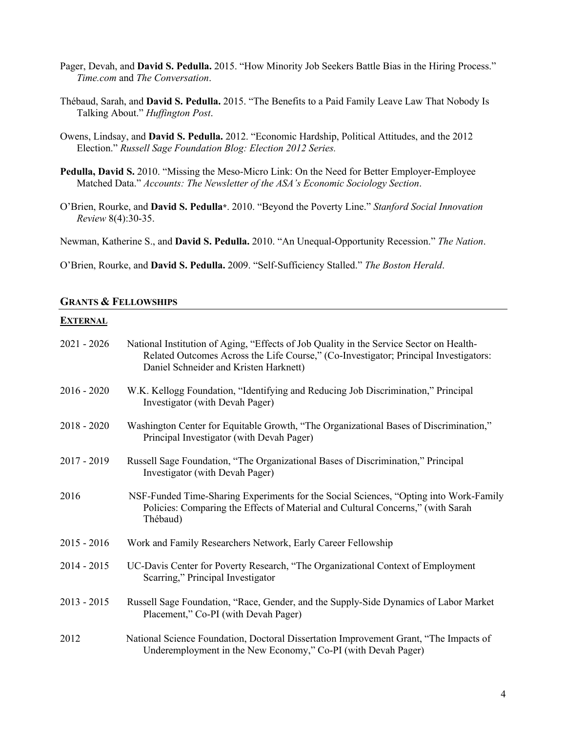- Pager, Devah, and **David S. Pedulla.** 2015. "How Minority Job Seekers Battle Bias in the Hiring Process." *Time.com* and *The Conversation*.
- Thébaud, Sarah, and **David S. Pedulla.** 2015. "The Benefits to a Paid Family Leave Law That Nobody Is Talking About." *Huffington Post*.
- Owens, Lindsay, and **David S. Pedulla.** 2012. "Economic Hardship, Political Attitudes, and the 2012 Election." *Russell Sage Foundation Blog: Election 2012 Series.*
- **Pedulla, David S.** 2010. "Missing the Meso-Micro Link: On the Need for Better Employer-Employee Matched Data." *Accounts: The Newsletter of the ASA's Economic Sociology Section*.
- O'Brien, Rourke, and **David S. Pedulla\***. 2010. "Beyond the Poverty Line." *Stanford Social Innovation Review* 8(4):30-35.

Newman, Katherine S., and **David S. Pedulla.** 2010. "An Unequal-Opportunity Recession." *The Nation*.

O'Brien, Rourke, and **David S. Pedulla.** 2009. "Self-Sufficiency Stalled." *The Boston Herald*.

### **GRANTS & FELLOWSHIPS**

### **EXTERNAL**

| $2021 - 2026$ | National Institution of Aging, "Effects of Job Quality in the Service Sector on Health-<br>Related Outcomes Across the Life Course," (Co-Investigator; Principal Investigators:<br>Daniel Schneider and Kristen Harknett) |
|---------------|---------------------------------------------------------------------------------------------------------------------------------------------------------------------------------------------------------------------------|
| $2016 - 2020$ | W.K. Kellogg Foundation, "Identifying and Reducing Job Discrimination," Principal<br>Investigator (with Devah Pager)                                                                                                      |
| $2018 - 2020$ | Washington Center for Equitable Growth, "The Organizational Bases of Discrimination,"<br>Principal Investigator (with Devah Pager)                                                                                        |
| $2017 - 2019$ | Russell Sage Foundation, "The Organizational Bases of Discrimination," Principal<br>Investigator (with Devah Pager)                                                                                                       |
| 2016          | NSF-Funded Time-Sharing Experiments for the Social Sciences, "Opting into Work-Family<br>Policies: Comparing the Effects of Material and Cultural Concerns," (with Sarah<br>Thébaud)                                      |
| $2015 - 2016$ | Work and Family Researchers Network, Early Career Fellowship                                                                                                                                                              |
| $2014 - 2015$ | UC-Davis Center for Poverty Research, "The Organizational Context of Employment<br>Scarring," Principal Investigator                                                                                                      |
| $2013 - 2015$ | Russell Sage Foundation, "Race, Gender, and the Supply-Side Dynamics of Labor Market<br>Placement," Co-PI (with Devah Pager)                                                                                              |
| 2012          | National Science Foundation, Doctoral Dissertation Improvement Grant, "The Impacts of<br>Underemployment in the New Economy," Co-PI (with Devah Pager)                                                                    |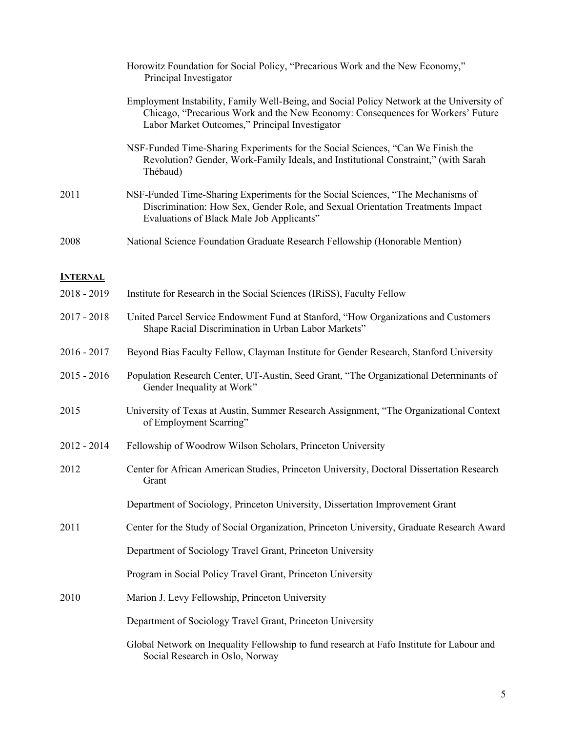|                 | Horowitz Foundation for Social Policy, "Precarious Work and the New Economy,"<br>Principal Investigator                                                                                                                        |
|-----------------|--------------------------------------------------------------------------------------------------------------------------------------------------------------------------------------------------------------------------------|
|                 | Employment Instability, Family Well-Being, and Social Policy Network at the University of<br>Chicago, "Precarious Work and the New Economy: Consequences for Workers' Future<br>Labor Market Outcomes," Principal Investigator |
|                 | NSF-Funded Time-Sharing Experiments for the Social Sciences, "Can We Finish the<br>Revolution? Gender, Work-Family Ideals, and Institutional Constraint," (with Sarah<br>Thébaud)                                              |
| 2011            | NSF-Funded Time-Sharing Experiments for the Social Sciences, "The Mechanisms of<br>Discrimination: How Sex, Gender Role, and Sexual Orientation Treatments Impact<br>Evaluations of Black Male Job Applicants"                 |
| 2008            | National Science Foundation Graduate Research Fellowship (Honorable Mention)                                                                                                                                                   |
| <b>INTERNAL</b> |                                                                                                                                                                                                                                |
| $2018 - 2019$   | Institute for Research in the Social Sciences (IRiSS), Faculty Fellow                                                                                                                                                          |
| $2017 - 2018$   | United Parcel Service Endowment Fund at Stanford, "How Organizations and Customers<br>Shape Racial Discrimination in Urban Labor Markets"                                                                                      |
| $2016 - 2017$   | Beyond Bias Faculty Fellow, Clayman Institute for Gender Research, Stanford University                                                                                                                                         |
| $2015 - 2016$   | Population Research Center, UT-Austin, Seed Grant, "The Organizational Determinants of<br>Gender Inequality at Work"                                                                                                           |
| 2015            | University of Texas at Austin, Summer Research Assignment, "The Organizational Context"<br>of Employment Scarring"                                                                                                             |
| $2012 - 2014$   | Fellowship of Woodrow Wilson Scholars, Princeton University                                                                                                                                                                    |
| 2012            | Center for African American Studies, Princeton University, Doctoral Dissertation Research<br>Grant                                                                                                                             |
|                 | Department of Sociology, Princeton University, Dissertation Improvement Grant                                                                                                                                                  |
| 2011            | Center for the Study of Social Organization, Princeton University, Graduate Research Award                                                                                                                                     |
|                 | Department of Sociology Travel Grant, Princeton University                                                                                                                                                                     |
|                 | Program in Social Policy Travel Grant, Princeton University                                                                                                                                                                    |
| 2010            | Marion J. Levy Fellowship, Princeton University                                                                                                                                                                                |
|                 | Department of Sociology Travel Grant, Princeton University                                                                                                                                                                     |
|                 | Global Network on Inequality Fellowship to fund research at Fafo Institute for Labour and<br>Social Research in Oslo, Norway                                                                                                   |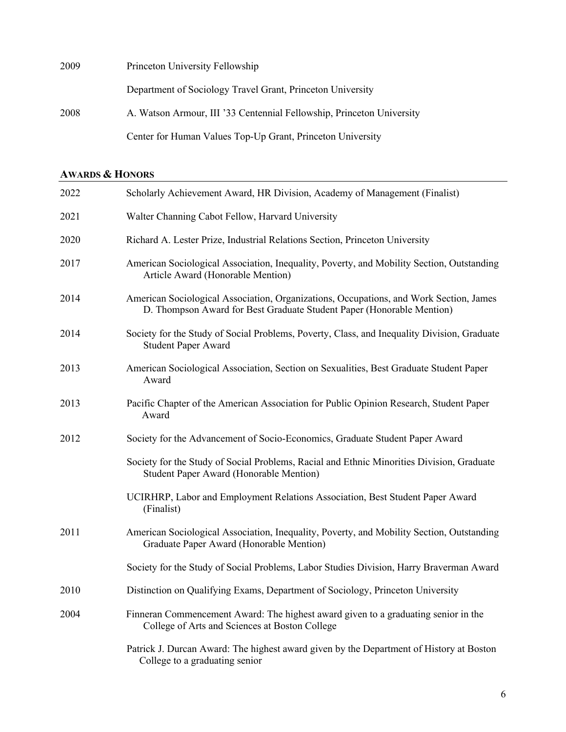| 2009 | Princeton University Fellowship                                       |
|------|-----------------------------------------------------------------------|
|      | Department of Sociology Travel Grant, Princeton University            |
| 2008 | A. Watson Armour, III '33 Centennial Fellowship, Princeton University |
|      | Center for Human Values Top-Up Grant, Princeton University            |

# **AWARDS & HONORS**

| 2022 | Scholarly Achievement Award, HR Division, Academy of Management (Finalist)                                                                                      |
|------|-----------------------------------------------------------------------------------------------------------------------------------------------------------------|
| 2021 | Walter Channing Cabot Fellow, Harvard University                                                                                                                |
| 2020 | Richard A. Lester Prize, Industrial Relations Section, Princeton University                                                                                     |
| 2017 | American Sociological Association, Inequality, Poverty, and Mobility Section, Outstanding<br>Article Award (Honorable Mention)                                  |
| 2014 | American Sociological Association, Organizations, Occupations, and Work Section, James<br>D. Thompson Award for Best Graduate Student Paper (Honorable Mention) |
| 2014 | Society for the Study of Social Problems, Poverty, Class, and Inequality Division, Graduate<br><b>Student Paper Award</b>                                       |
| 2013 | American Sociological Association, Section on Sexualities, Best Graduate Student Paper<br>Award                                                                 |
| 2013 | Pacific Chapter of the American Association for Public Opinion Research, Student Paper<br>Award                                                                 |
| 2012 | Society for the Advancement of Socio-Economics, Graduate Student Paper Award                                                                                    |
|      | Society for the Study of Social Problems, Racial and Ethnic Minorities Division, Graduate<br>Student Paper Award (Honorable Mention)                            |
|      | UCIRHRP, Labor and Employment Relations Association, Best Student Paper Award<br>(Finalist)                                                                     |
| 2011 | American Sociological Association, Inequality, Poverty, and Mobility Section, Outstanding<br>Graduate Paper Award (Honorable Mention)                           |
|      | Society for the Study of Social Problems, Labor Studies Division, Harry Braverman Award                                                                         |
| 2010 | Distinction on Qualifying Exams, Department of Sociology, Princeton University                                                                                  |
| 2004 | Finneran Commencement Award: The highest award given to a graduating senior in the<br>College of Arts and Sciences at Boston College                            |
|      | Patrick J. Durcan Award: The highest award given by the Department of History at Boston<br>College to a graduating senior                                       |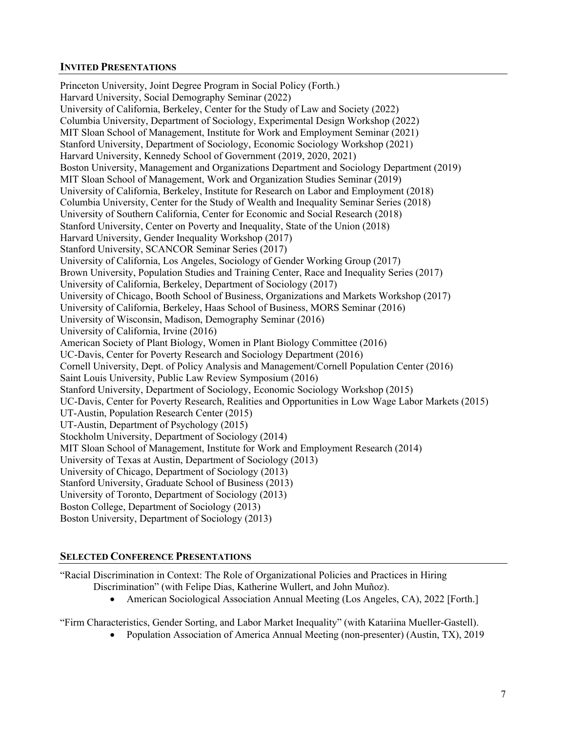# **INVITED PRESENTATIONS**

Princeton University, Joint Degree Program in Social Policy (Forth.) Harvard University, Social Demography Seminar (2022) University of California, Berkeley, Center for the Study of Law and Society (2022) Columbia University, Department of Sociology, Experimental Design Workshop (2022) MIT Sloan School of Management, Institute for Work and Employment Seminar (2021) Stanford University, Department of Sociology, Economic Sociology Workshop (2021) Harvard University, Kennedy School of Government (2019, 2020, 2021) Boston University, Management and Organizations Department and Sociology Department (2019) MIT Sloan School of Management, Work and Organization Studies Seminar (2019) University of California, Berkeley, Institute for Research on Labor and Employment (2018) Columbia University, Center for the Study of Wealth and Inequality Seminar Series (2018) University of Southern California, Center for Economic and Social Research (2018) Stanford University, Center on Poverty and Inequality, State of the Union (2018) Harvard University, Gender Inequality Workshop (2017) Stanford University, SCANCOR Seminar Series (2017) University of California, Los Angeles, Sociology of Gender Working Group (2017) Brown University, Population Studies and Training Center, Race and Inequality Series (2017) University of California, Berkeley, Department of Sociology (2017) University of Chicago, Booth School of Business, Organizations and Markets Workshop (2017) University of California, Berkeley, Haas School of Business, MORS Seminar (2016) University of Wisconsin, Madison, Demography Seminar (2016) University of California, Irvine (2016) American Society of Plant Biology, Women in Plant Biology Committee (2016) UC-Davis, Center for Poverty Research and Sociology Department (2016) Cornell University, Dept. of Policy Analysis and Management/Cornell Population Center (2016) Saint Louis University, Public Law Review Symposium (2016) Stanford University, Department of Sociology, Economic Sociology Workshop (2015) UC-Davis, Center for Poverty Research, Realities and Opportunities in Low Wage Labor Markets (2015) UT-Austin, Population Research Center (2015) UT-Austin, Department of Psychology (2015) Stockholm University, Department of Sociology (2014) MIT Sloan School of Management, Institute for Work and Employment Research (2014) University of Texas at Austin, Department of Sociology (2013) University of Chicago, Department of Sociology (2013) Stanford University, Graduate School of Business (2013) University of Toronto, Department of Sociology (2013) Boston College, Department of Sociology (2013) Boston University, Department of Sociology (2013)

# **SELECTED CONFERENCE PRESENTATIONS**

"Racial Discrimination in Context: The Role of Organizational Policies and Practices in Hiring Discrimination" (with Felipe Dias, Katherine Wullert, and John Muñoz).

• American Sociological Association Annual Meeting (Los Angeles, CA), 2022 [Forth.]

"Firm Characteristics, Gender Sorting, and Labor Market Inequality" (with Katariina Mueller-Gastell).

• Population Association of America Annual Meeting (non-presenter) (Austin, TX), 2019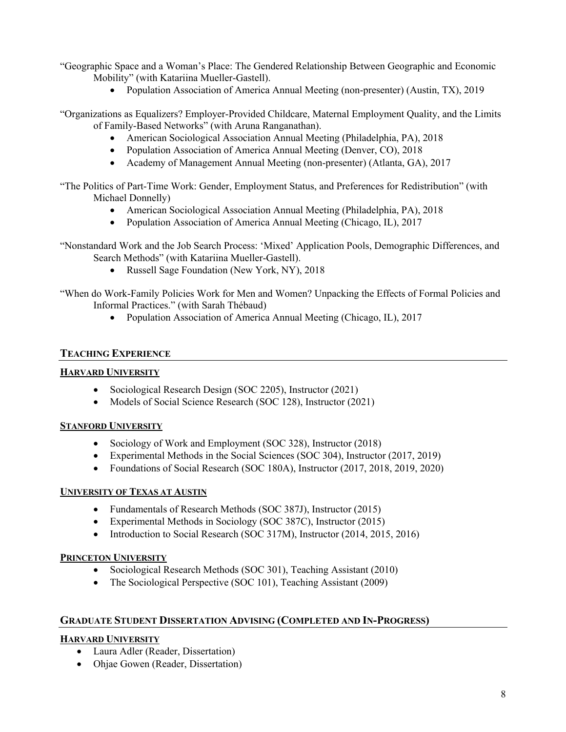"Geographic Space and a Woman's Place: The Gendered Relationship Between Geographic and Economic Mobility" (with Katariina Mueller-Gastell).

• Population Association of America Annual Meeting (non-presenter) (Austin, TX), 2019

"Organizations as Equalizers? Employer-Provided Childcare, Maternal Employment Quality, and the Limits of Family-Based Networks" (with Aruna Ranganathan).

- American Sociological Association Annual Meeting (Philadelphia, PA), 2018
- Population Association of America Annual Meeting (Denver, CO), 2018
- Academy of Management Annual Meeting (non-presenter) (Atlanta, GA), 2017

"The Politics of Part-Time Work: Gender, Employment Status, and Preferences for Redistribution" (with Michael Donnelly)

- American Sociological Association Annual Meeting (Philadelphia, PA), 2018
- Population Association of America Annual Meeting (Chicago, IL), 2017

"Nonstandard Work and the Job Search Process: 'Mixed' Application Pools, Demographic Differences, and Search Methods" (with Katariina Mueller-Gastell).

- Russell Sage Foundation (New York, NY), 2018
- "When do Work-Family Policies Work for Men and Women? Unpacking the Effects of Formal Policies and Informal Practices." (with Sarah Thébaud)
	- Population Association of America Annual Meeting (Chicago, IL), 2017

## **TEACHING EXPERIENCE**

### **HARVARD UNIVERSITY**

- Sociological Research Design (SOC 2205), Instructor (2021)
- Models of Social Science Research (SOC 128), Instructor (2021)

### **STANFORD UNIVERSITY**

- Sociology of Work and Employment (SOC 328), Instructor (2018)
- Experimental Methods in the Social Sciences (SOC 304), Instructor (2017, 2019)
- Foundations of Social Research (SOC 180A), Instructor (2017, 2018, 2019, 2020)

### **UNIVERSITY OF TEXAS AT AUSTIN**

- Fundamentals of Research Methods (SOC 387J), Instructor (2015)
- Experimental Methods in Sociology (SOC 387C), Instructor (2015)
- Introduction to Social Research (SOC 317M), Instructor (2014, 2015, 2016)

### **PRINCETON UNIVERSITY**

- Sociological Research Methods (SOC 301), Teaching Assistant (2010)
- The Sociological Perspective (SOC 101), Teaching Assistant (2009)

# **GRADUATE STUDENT DISSERTATION ADVISING (COMPLETED AND IN-PROGRESS)**

### **HARVARD UNIVERSITY**

- Laura Adler (Reader, Dissertation)
- Ohjae Gowen (Reader, Dissertation)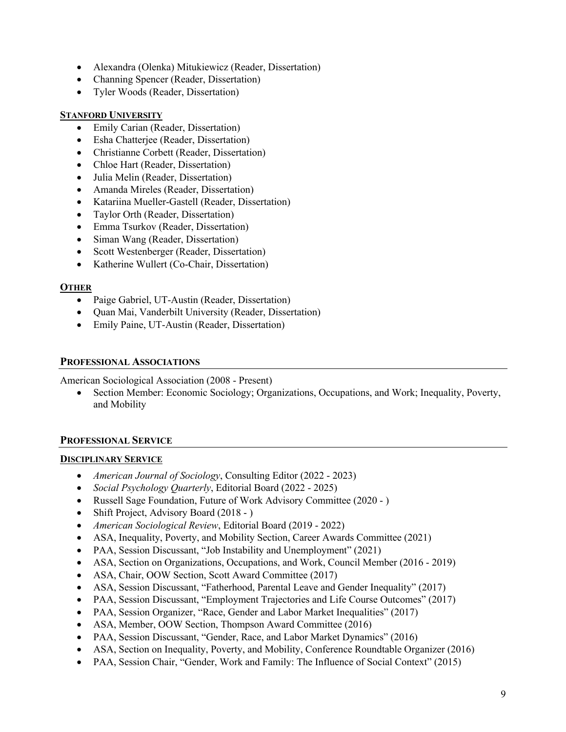- Alexandra (Olenka) Mitukiewicz (Reader, Dissertation)
- Channing Spencer (Reader, Dissertation)
- Tyler Woods (Reader, Dissertation)

# **STANFORD UNIVERSITY**

- Emily Carian (Reader, Dissertation)
- Esha Chatterjee (Reader, Dissertation)
- Christianne Corbett (Reader, Dissertation)
- Chloe Hart (Reader, Dissertation)
- Julia Melin (Reader, Dissertation)
- Amanda Mireles (Reader, Dissertation)
- Katariina Mueller-Gastell (Reader, Dissertation)
- Taylor Orth (Reader, Dissertation)
- Emma Tsurkov (Reader, Dissertation)
- Siman Wang (Reader, Dissertation)
- Scott Westenberger (Reader, Dissertation)
- Katherine Wullert (Co-Chair, Dissertation)

# **OTHER**

- Paige Gabriel, UT-Austin (Reader, Dissertation)
- Quan Mai, Vanderbilt University (Reader, Dissertation)
- Emily Paine, UT-Austin (Reader, Dissertation)

# **PROFESSIONAL ASSOCIATIONS**

American Sociological Association (2008 - Present)

• Section Member: Economic Sociology; Organizations, Occupations, and Work; Inequality, Poverty, and Mobility

# **PROFESSIONAL SERVICE**

# **DISCIPLINARY SERVICE**

- *American Journal of Sociology*, Consulting Editor (2022 2023)
- *Social Psychology Quarterly*, Editorial Board (2022 2025)
- Russell Sage Foundation, Future of Work Advisory Committee (2020 )
- Shift Project, Advisory Board (2018 )
- *American Sociological Review*, Editorial Board (2019 2022)
- ASA, Inequality, Poverty, and Mobility Section, Career Awards Committee (2021)
- PAA, Session Discussant, "Job Instability and Unemployment" (2021)
- ASA, Section on Organizations, Occupations, and Work, Council Member (2016 2019)
- ASA, Chair, OOW Section, Scott Award Committee (2017)
- ASA, Session Discussant, "Fatherhood, Parental Leave and Gender Inequality" (2017)
- PAA, Session Discussant, "Employment Trajectories and Life Course Outcomes" (2017)
- PAA, Session Organizer, "Race, Gender and Labor Market Inequalities" (2017)
- ASA, Member, OOW Section, Thompson Award Committee (2016)
- PAA, Session Discussant, "Gender, Race, and Labor Market Dynamics" (2016)
- ASA, Section on Inequality, Poverty, and Mobility, Conference Roundtable Organizer (2016)
- PAA, Session Chair, "Gender, Work and Family: The Influence of Social Context" (2015)